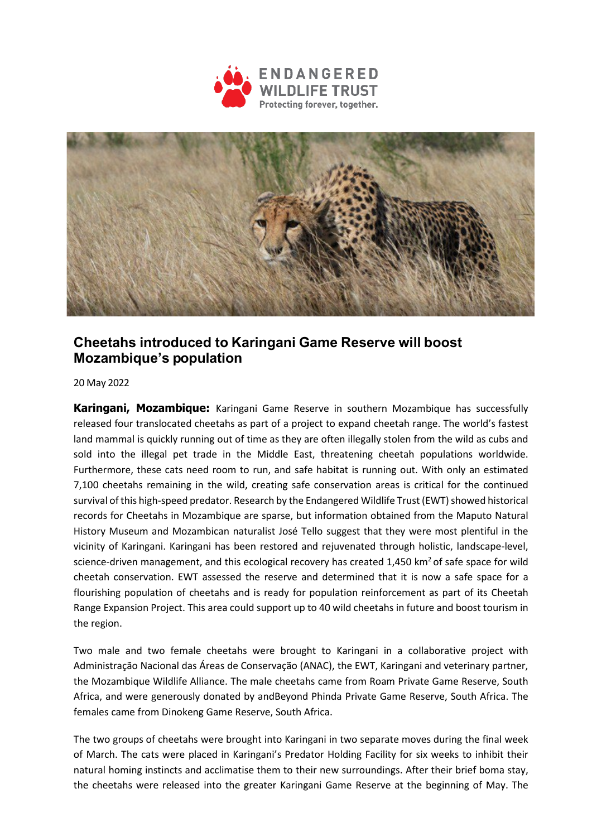



## **Cheetahs introduced to Karingani Game Reserve will boost Mozambique's population**

20 May 2022

**Karingani, Mozambique:** Karingani Game Reserve in southern Mozambique has successfully released four translocated cheetahs as part of a project to expand cheetah range. The world's fastest land mammal is quickly running out of time as they are often illegally stolen from the wild as cubs and sold into the illegal pet trade in the Middle East, threatening cheetah populations worldwide. Furthermore, these cats need room to run, and safe habitat is running out. With only an estimated 7,100 cheetahs remaining in the wild, creating safe conservation areas is critical for the continued survival of this high-speed predator. Research by the Endangered Wildlife Trust (EWT) showed historical records for Cheetahs in Mozambique are sparse, but information obtained from the Maputo Natural History Museum and Mozambican naturalist José Tello suggest that they were most plentiful in the vicinity of Karingani. Karingani has been restored and rejuvenated through holistic, landscape-level, science-driven management, and this ecological recovery has created  $1,450$  km<sup>2</sup> of safe space for wild cheetah conservation. EWT assessed the reserve and determined that it is now a safe space for a flourishing population of cheetahs and is ready for population reinforcement as part of its Cheetah Range Expansion Project. This area could support up to 40 wild cheetahs in future and boost tourism in the region.

Two male and two female cheetahs were brought to Karingani in a collaborative project with Administração Nacional das Áreas de Conservação (ANAC), the EWT, Karingani and veterinary partner, the Mozambique Wildlife Alliance. The male cheetahs came from Roam Private Game Reserve, South Africa, and were generously donated by andBeyond Phinda Private Game Reserve, South Africa. The females came from Dinokeng Game Reserve, South Africa.

The two groups of cheetahs were brought into Karingani in two separate moves during the final week of March. The cats were placed in Karingani's Predator Holding Facility for six weeks to inhibit their natural homing instincts and acclimatise them to their new surroundings. After their brief boma stay, the cheetahs were released into the greater Karingani Game Reserve at the beginning of May. The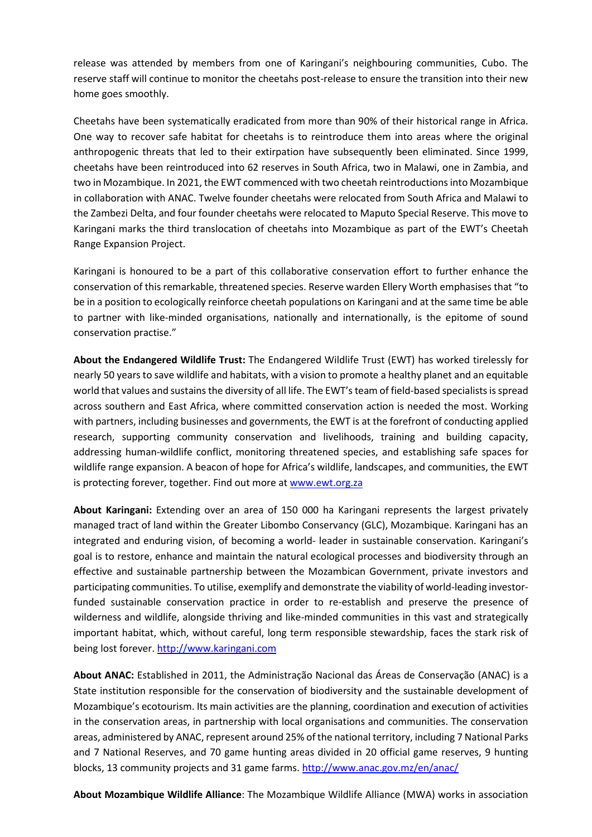release was attended by members from one of Karingani's neighbouring communities, Cubo. The reserve staff will continue to monitor the cheetahs post-release to ensure the transition into their new home goes smoothly.

Cheetahs have been systematically eradicated from more than 90% of their historical range in Africa. One way to recover safe habitat for cheetahs is to reintroduce them into areas where the original anthropogenic threats that led to their extirpation have subsequently been eliminated. Since 1999, cheetahs have been reintroduced into 62 reserves in South Africa, two in Malawi, one in Zambia, and two in Mozambique. In 2021, the EWT commenced with two cheetah reintroductions into Mozambique in collaboration with ANAC. Twelve founder cheetahs were relocated from South Africa and Malawi to the Zambezi Delta, and four founder cheetahs were relocated to Maputo Special Reserve. This move to Karingani marks the third translocation of cheetahs into Mozambique as part of the EWT's Cheetah Range Expansion Project.

Karingani is honoured to be a part of this collaborative conservation effort to further enhance the conservation of this remarkable, threatened species. Reserve warden Ellery Worth emphasises that "to be in a position to ecologically reinforce cheetah populations on Karingani and at the same time be able to partner with like-minded organisations, nationally and internationally, is the epitome of sound conservation practise."

**About the Endangered Wildlife Trust:** The Endangered Wildlife Trust (EWT) has worked tirelessly for nearly 50 years to save wildlife and habitats, with a vision to promote a healthy planet and an equitable world that values and sustains the diversity of all life. The EWT's team of field-based specialists is spread across southern and East Africa, where committed conservation action is needed the most. Working with partners, including businesses and governments, the EWT is at the forefront of conducting applied research, supporting community conservation and livelihoods, training and building capacity, addressing human-wildlife conflict, monitoring threatened species, and establishing safe spaces for wildlife range expansion. A beacon of hope for Africa's wildlife, landscapes, and communities, the EWT is protecting forever, together. Find out more a[t www.ewt.org.za](http://www.ewt.org.za/)

**About Karingani:** Extending over an area of 150 000 ha Karingani represents the largest privately managed tract of land within the Greater Libombo Conservancy (GLC), Mozambique. Karingani has an integrated and enduring vision, of becoming a world- leader in sustainable conservation. Karingani's goal is to restore, enhance and maintain the natural ecological processes and biodiversity through an effective and sustainable partnership between the Mozambican Government, private investors and participating communities. To utilise, exemplify and demonstrate the viability of world-leading investorfunded sustainable conservation practice in order to re-establish and preserve the presence of wilderness and wildlife, alongside thriving and like-minded communities in this vast and strategically important habitat, which, without careful, long term responsible stewardship, faces the stark risk of being lost forever. [http://www.karingani.com](http://www.karingani.com/)

**About ANAC:** Established in 2011, the Administração Nacional das Áreas de Conservação (ANAC) is a State institution responsible for the conservation of biodiversity and the sustainable development of Mozambique's ecotourism. Its main activities are the planning, coordination and execution of activities in the conservation areas, in partnership with local organisations and communities. The conservation areas, administered by ANAC, represent around 25% of the national territory, including 7 National Parks and 7 National Reserves, and 70 game hunting areas divided in 20 official game reserves, 9 hunting blocks, 13 community projects and 31 game farms.<http://www.anac.gov.mz/en/anac/>

**About Mozambique Wildlife Alliance**: The Mozambique Wildlife Alliance (MWA) works in association